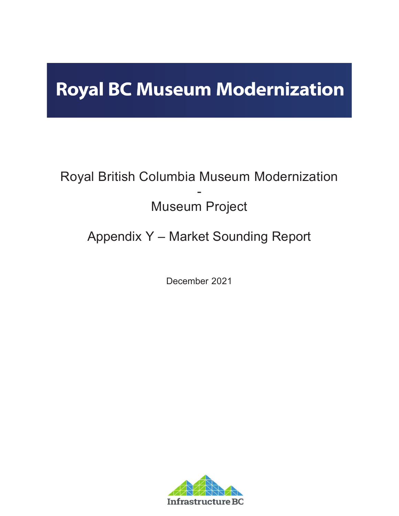# **Royal BC Museum Modernization**

## Royal British Columbia Museum Modernization - Museum Project

## Appendix Y – Market Sounding Report

December 2021

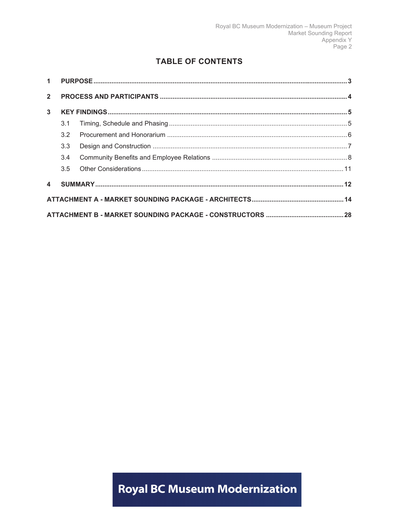## **TABLE OF CONTENTS**

| $\overline{2}$ |     |  |  |  |
|----------------|-----|--|--|--|
| $\overline{3}$ |     |  |  |  |
|                | 3.1 |  |  |  |
|                | 3.2 |  |  |  |
|                | 3.3 |  |  |  |
|                | 3.4 |  |  |  |
|                | 3.5 |  |  |  |
| $\overline{4}$ |     |  |  |  |
|                |     |  |  |  |
|                |     |  |  |  |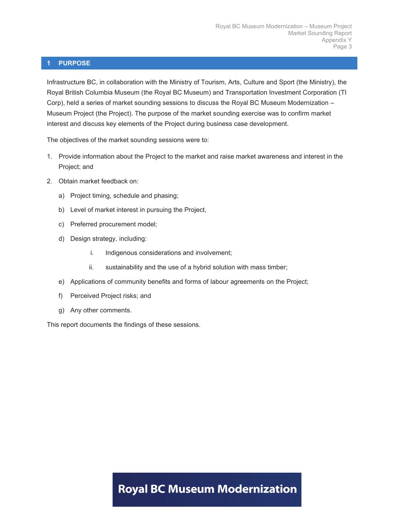## **1 PURPOSE**

Infrastructure BC, in collaboration with the Ministry of Tourism, Arts, Culture and Sport (the Ministry), the Royal British Columbia Museum (the Royal BC Museum) and Transportation Investment Corporation (TI Corp), held a series of market sounding sessions to discuss the Royal BC Museum Modernization – Museum Project (the Project). The purpose of the market sounding exercise was to confirm market interest and discuss key elements of the Project during business case development.

The objectives of the market sounding sessions were to:

- 1. Provide information about the Project to the market and raise market awareness and interest in the Project; and
- 2. Obtain market feedback on:
	- a) Project timing, schedule and phasing;
	- b) Level of market interest in pursuing the Project,
	- c) Preferred procurement model;
	- d) Design strategy, including:
		- i. Indigenous considerations and involvement;
		- ii. sustainability and the use of a hybrid solution with mass timber;
	- e) Applications of community benefits and forms of labour agreements on the Project;
	- f) Perceived Project risks; and
	- g) Any other comments.

This report documents the findings of these sessions.

**Royal BC Museum Modernization**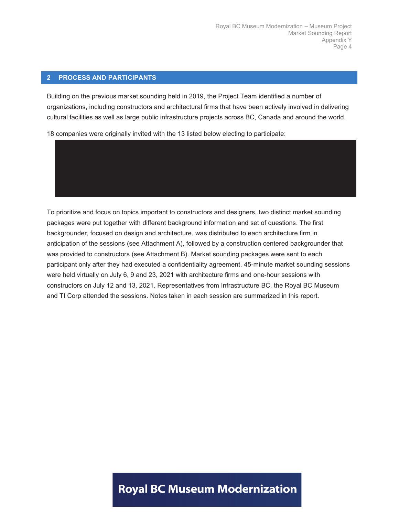### **2 PROCESS AND PARTICIPANTS**

Building on the previous market sounding held in 2019, the Project Team identified a number of organizations, including constructors and architectural firms that have been actively involved in delivering cultural facilities as well as large public infrastructure projects across BC, Canada and around the world.

18 companies were originally invited with the 13 listed below electing to participate:

To prioritize and focus on topics important to constructors and designers, two distinct market sounding packages were put together with different background information and set of questions. The first backgrounder, focused on design and architecture, was distributed to each architecture firm in anticipation of the sessions (see Attachment A), followed by a construction centered backgrounder that was provided to constructors (see Attachment B). Market sounding packages were sent to each participant only after they had executed a confidentiality agreement. 45-minute market sounding sessions were held virtually on July 6, 9 and 23, 2021 with architecture firms and one-hour sessions with constructors on July 12 and 13, 2021. Representatives from Infrastructure BC, the Royal BC Museum and TI Corp attended the sessions. Notes taken in each session are summarized in this report.

## **Royal BC Museum Modernization**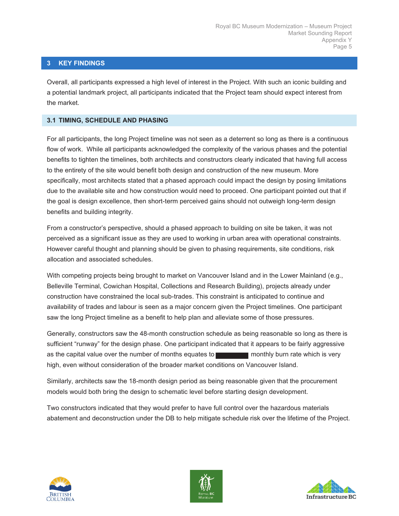## **3 KEY FINDINGS**

Overall, all participants expressed a high level of interest in the Project. With such an iconic building and a potential landmark project, all participants indicated that the Project team should expect interest from the market.

### **3.1 TIMING, SCHEDULE AND PHASING**

For all participants, the long Project timeline was not seen as a deterrent so long as there is a continuous flow of work. While all participants acknowledged the complexity of the various phases and the potential benefits to tighten the timelines, both architects and constructors clearly indicated that having full access to the entirety of the site would benefit both design and construction of the new museum. More specifically, most architects stated that a phased approach could impact the design by posing limitations due to the available site and how construction would need to proceed. One participant pointed out that if the goal is design excellence, then short-term perceived gains should not outweigh long-term design benefits and building integrity.

From a constructor's perspective, should a phased approach to building on site be taken, it was not perceived as a significant issue as they are used to working in urban area with operational constraints. However careful thought and planning should be given to phasing requirements, site conditions, risk allocation and associated schedules.

With competing projects being brought to market on Vancouver Island and in the Lower Mainland (e.g., Belleville Terminal, Cowichan Hospital, Collections and Research Building), projects already under construction have constrained the local sub-trades. This constraint is anticipated to continue and availability of trades and labour is seen as a major concern given the Project timelines. One participant saw the long Project timeline as a benefit to help plan and alleviate some of those pressures.

Generally, constructors saw the 48-month construction schedule as being reasonable so long as there is sufficient "runway" for the design phase. One participant indicated that it appears to be fairly aggressive as the capital value over the number of months equates to monthly burn rate which is very high, even without consideration of the broader market conditions on Vancouver Island.

Similarly, architects saw the 18-month design period as being reasonable given that the procurement models would both bring the design to schematic level before starting design development.

Two constructors indicated that they would prefer to have full control over the hazardous materials abatement and deconstruction under the DB to help mitigate schedule risk over the lifetime of the Project.





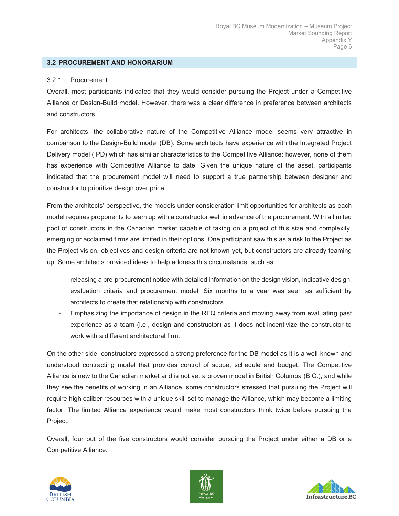## **3.2 PROCUREMENT AND HONORARIUM**

#### 3.2.1 Procurement

Overall, most participants indicated that they would consider pursuing the Project under a Competitive Alliance or Design-Build model. However, there was a clear difference in preference between architects and constructors.

For architects, the collaborative nature of the Competitive Alliance model seems very attractive in comparison to the Design-Build model (DB). Some architects have experience with the Integrated Project Delivery model (IPD) which has similar characteristics to the Competitive Alliance; however, none of them has experience with Competitive Alliance to date. Given the unique nature of the asset, participants indicated that the procurement model will need to support a true partnership between designer and constructor to prioritize design over price.

From the architects' perspective, the models under consideration limit opportunities for architects as each model requires proponents to team up with a constructor well in advance of the procurement. With a limited pool of constructors in the Canadian market capable of taking on a project of this size and complexity, emerging or acclaimed firms are limited in their options. One participant saw this as a risk to the Project as the Project vision, objectives and design criteria are not known yet, but constructors are already teaming up. Some architects provided ideas to help address this circumstance, such as:

- releasing a pre-procurement notice with detailed information on the design vision, indicative design, evaluation criteria and procurement model. Six months to a year was seen as sufficient by architects to create that relationship with constructors.
- Emphasizing the importance of design in the RFQ criteria and moving away from evaluating past experience as a team (i.e., design and constructor) as it does not incentivize the constructor to work with a different architectural firm.

On the other side, constructors expressed a strong preference for the DB model as it is a well-known and understood contracting model that provides control of scope, schedule and budget. The Competitive Alliance is new to the Canadian market and is not yet a proven model in British Columba (B.C.), and while they see the benefits of working in an Alliance, some constructors stressed that pursuing the Project will require high caliber resources with a unique skill set to manage the Alliance, which may become a limiting factor. The limited Alliance experience would make most constructors think twice before pursuing the Project.

Overall, four out of the five constructors would consider pursuing the Project under either a DB or a Competitive Alliance.





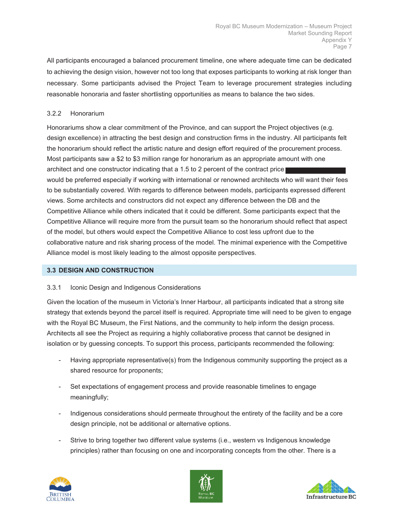All participants encouraged a balanced procurement timeline, one where adequate time can be dedicated to achieving the design vision, however not too long that exposes participants to working at risk longer than necessary. Some participants advised the Project Team to leverage procurement strategies including reasonable honoraria and faster shortlisting opportunities as means to balance the two sides.

## 3.2.2 Honorarium

Honorariums show a clear commitment of the Province, and can support the Project objectives (e.g. design excellence) in attracting the best design and construction firms in the industry. All participants felt the honorarium should reflect the artistic nature and design effort required of the procurement process. Most participants saw a \$2 to \$3 million range for honorarium as an appropriate amount with one architect and one constructor indicating that a 1.5 to 2 percent of the contract price would be preferred especially if working with international or renowned architects who will want their fees to be substantially covered. With regards to difference between models, participants expressed different views. Some architects and constructors did not expect any difference between the DB and the Competitive Alliance while others indicated that it could be different. Some participants expect that the Competitive Alliance will require more from the pursuit team so the honorarium should reflect that aspect of the model, but others would expect the Competitive Alliance to cost less upfront due to the collaborative nature and risk sharing process of the model. The minimal experience with the Competitive Alliance model is most likely leading to the almost opposite perspectives.

#### **3.3 DESIGN AND CONSTRUCTION**

#### 3.3.1 Iconic Design and Indigenous Considerations

Given the location of the museum in Victoria's Inner Harbour, all participants indicated that a strong site strategy that extends beyond the parcel itself is required. Appropriate time will need to be given to engage with the Royal BC Museum, the First Nations, and the community to help inform the design process. Architects all see the Project as requiring a highly collaborative process that cannot be designed in isolation or by guessing concepts. To support this process, participants recommended the following:

- Having appropriate representative(s) from the Indigenous community supporting the project as a shared resource for proponents;
- Set expectations of engagement process and provide reasonable timelines to engage meaningfully;
- Indigenous considerations should permeate throughout the entirety of the facility and be a core design principle, not be additional or alternative options.
- Strive to bring together two different value systems (i.e., western vs Indigenous knowledge principles) rather than focusing on one and incorporating concepts from the other. There is a





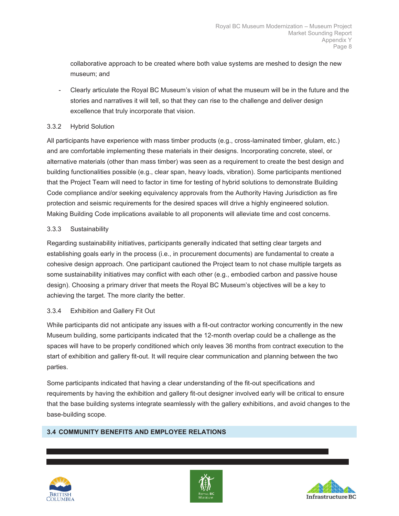collaborative approach to be created where both value systems are meshed to design the new museum; and

- Clearly articulate the Royal BC Museum's vision of what the museum will be in the future and the stories and narratives it will tell, so that they can rise to the challenge and deliver design excellence that truly incorporate that vision.

## 3.3.2 Hybrid Solution

All participants have experience with mass timber products (e.g., cross-laminated timber, glulam, etc.) and are comfortable implementing these materials in their designs. Incorporating concrete, steel, or alternative materials (other than mass timber) was seen as a requirement to create the best design and building functionalities possible (e.g., clear span, heavy loads, vibration). Some participants mentioned that the Project Team will need to factor in time for testing of hybrid solutions to demonstrate Building Code compliance and/or seeking equivalency approvals from the Authority Having Jurisdiction as fire protection and seismic requirements for the desired spaces will drive a highly engineered solution. Making Building Code implications available to all proponents will alleviate time and cost concerns.

## 3.3.3 Sustainability

Regarding sustainability initiatives, participants generally indicated that setting clear targets and establishing goals early in the process (i.e., in procurement documents) are fundamental to create a cohesive design approach. One participant cautioned the Project team to not chase multiple targets as some sustainability initiatives may conflict with each other (e.g., embodied carbon and passive house design). Choosing a primary driver that meets the Royal BC Museum's objectives will be a key to achieving the target. The more clarity the better.

## 3.3.4 Exhibition and Gallery Fit Out

While participants did not anticipate any issues with a fit-out contractor working concurrently in the new Museum building, some participants indicated that the 12-month overlap could be a challenge as the spaces will have to be properly conditioned which only leaves 36 months from contract execution to the start of exhibition and gallery fit-out. It will require clear communication and planning between the two parties.

Some participants indicated that having a clear understanding of the fit-out specifications and requirements by having the exhibition and gallery fit-out designer involved early will be critical to ensure that the base building systems integrate seamlessly with the gallery exhibitions, and avoid changes to the base-building scope.

## **3.4 COMMUNITY BENEFITS AND EMPLOYEE RELATIONS**





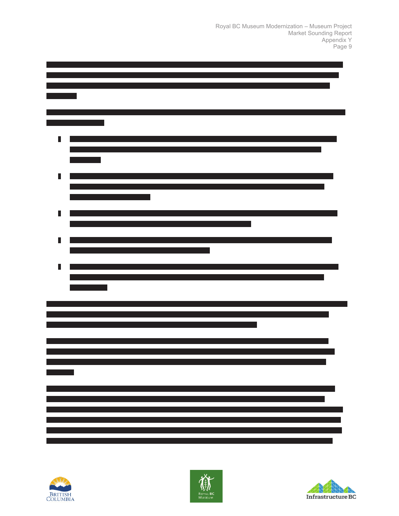| $\mathcal{L}^{\text{max}}_{\text{max}}$ and $\mathcal{L}^{\text{max}}_{\text{max}}$ and $\mathcal{L}^{\text{max}}_{\text{max}}$                                             |
|-----------------------------------------------------------------------------------------------------------------------------------------------------------------------------|
|                                                                                                                                                                             |
|                                                                                                                                                                             |
| $\mathbb{R}^n$<br>and the control of the control of the control of the control of the control of the control of the control of the                                          |
|                                                                                                                                                                             |
| and the state of the state of the state                                                                                                                                     |
|                                                                                                                                                                             |
| $\Box$<br>a sa kacamatan ing Kabupatèn Kabupatèn Ing                                                                                                                        |
|                                                                                                                                                                             |
|                                                                                                                                                                             |
|                                                                                                                                                                             |
| П                                                                                                                                                                           |
|                                                                                                                                                                             |
|                                                                                                                                                                             |
| П<br>and the state of the state of the state of the state of the state of the state of the state of the state of th                                                         |
| $\mathcal{L}^{\text{max}}_{\text{max}}$ and $\mathcal{L}^{\text{max}}_{\text{max}}$ and $\mathcal{L}^{\text{max}}_{\text{max}}$ and $\mathcal{L}^{\text{max}}_{\text{max}}$ |
| <u> 1989 - Johann Stein, marwolaethau a bh</u><br>П                                                                                                                         |
| $\mathcal{L}^{\text{max}}_{\text{max}}$ and $\mathcal{L}^{\text{max}}_{\text{max}}$ and $\mathcal{L}^{\text{max}}_{\text{max}}$                                             |
| $\mathcal{L}^{\text{max}}_{\text{max}}$ and $\mathcal{L}^{\text{max}}_{\text{max}}$ and $\mathcal{L}^{\text{max}}_{\text{max}}$                                             |
|                                                                                                                                                                             |
|                                                                                                                                                                             |
|                                                                                                                                                                             |
|                                                                                                                                                                             |
|                                                                                                                                                                             |
|                                                                                                                                                                             |
|                                                                                                                                                                             |
|                                                                                                                                                                             |
|                                                                                                                                                                             |
|                                                                                                                                                                             |
|                                                                                                                                                                             |
|                                                                                                                                                                             |
|                                                                                                                                                                             |
|                                                                                                                                                                             |
|                                                                                                                                                                             |
|                                                                                                                                                                             |





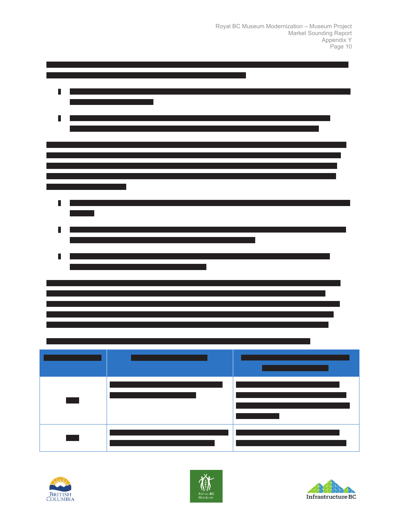





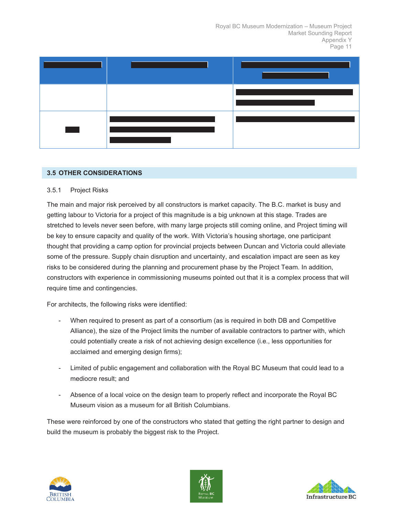

## **3.5 OTHER CONSIDERATIONS**

## 3.5.1 Project Risks

The main and major risk perceived by all constructors is market capacity. The B.C. market is busy and getting labour to Victoria for a project of this magnitude is a big unknown at this stage. Trades are stretched to levels never seen before, with many large projects still coming online, and Project timing will be key to ensure capacity and quality of the work. With Victoria's housing shortage, one participant thought that providing a camp option for provincial projects between Duncan and Victoria could alleviate some of the pressure. Supply chain disruption and uncertainty, and escalation impact are seen as key risks to be considered during the planning and procurement phase by the Project Team. In addition, constructors with experience in commissioning museums pointed out that it is a complex process that will require time and contingencies.

For architects, the following risks were identified:

- When required to present as part of a consortium (as is required in both DB and Competitive Alliance), the size of the Project limits the number of available contractors to partner with, which could potentially create a risk of not achieving design excellence (i.e., less opportunities for acclaimed and emerging design firms);
- Limited of public engagement and collaboration with the Royal BC Museum that could lead to a mediocre result; and
- Absence of a local voice on the design team to properly reflect and incorporate the Royal BC Museum vision as a museum for all British Columbians.

These were reinforced by one of the constructors who stated that getting the right partner to design and build the museum is probably the biggest risk to the Project.





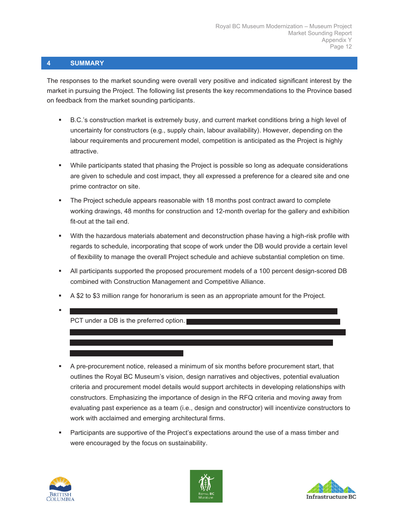## **4 SUMMARY**

The responses to the market sounding were overall very positive and indicated significant interest by the market in pursuing the Project. The following list presents the key recommendations to the Province based on feedback from the market sounding participants.

- B.C.'s construction market is extremely busy, and current market conditions bring a high level of uncertainty for constructors (e.g., supply chain, labour availability). However, depending on the labour requirements and procurement model, competition is anticipated as the Project is highly attractive.
- While participants stated that phasing the Project is possible so long as adequate considerations are given to schedule and cost impact, they all expressed a preference for a cleared site and one prime contractor on site.
- **The Project schedule appears reasonable with 18 months post contract award to complete** working drawings, 48 months for construction and 12-month overlap for the gallery and exhibition fit-out at the tail end.
- With the hazardous materials abatement and deconstruction phase having a high-risk profile with regards to schedule, incorporating that scope of work under the DB would provide a certain level of flexibility to manage the overall Project schedule and achieve substantial completion on time.
- All participants supported the proposed procurement models of a 100 percent design-scored DB combined with Construction Management and Competitive Alliance.
- A \$2 to \$3 million range for honorarium is seen as an appropriate amount for the Project.
	- PCT under a DB is the preferred option.
- A pre-procurement notice, released a minimum of six months before procurement start, that outlines the Royal BC Museum's vision, design narratives and objectives, potential evaluation criteria and procurement model details would support architects in developing relationships with constructors. Emphasizing the importance of design in the RFQ criteria and moving away from evaluating past experience as a team (i.e., design and constructor) will incentivize constructors to work with acclaimed and emerging architectural firms.
- Participants are supportive of the Project's expectations around the use of a mass timber and were encouraged by the focus on sustainability.



F



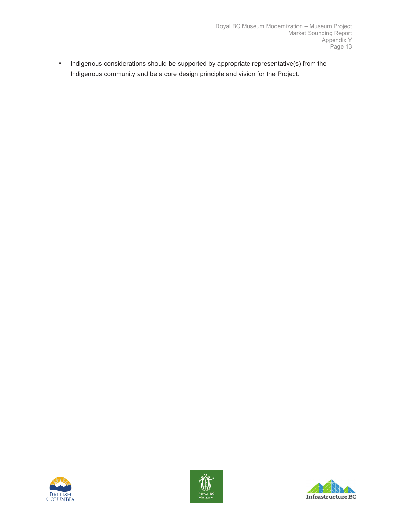**Indigenous considerations should be supported by appropriate representative(s) from the** Indigenous community and be a core design principle and vision for the Project.





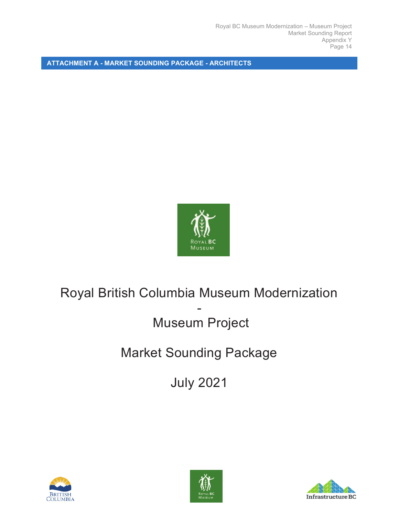**ATTACHMENT A - MARKET SOUNDING PACKAGE - ARCHITECTS**



## Royal British Columbia Museum Modernization

## - Museum Project

## Market Sounding Package

July 2021





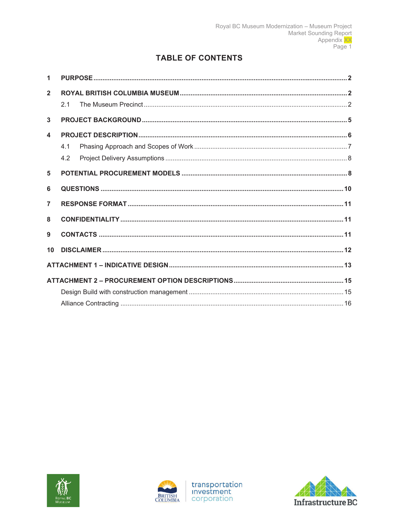## **TABLE OF CONTENTS**

| $\mathbf{1}$     |     |  |  |
|------------------|-----|--|--|
| $\overline{2}$   |     |  |  |
|                  | 21  |  |  |
| 3                |     |  |  |
| $\blacktriangle$ |     |  |  |
|                  | 4.1 |  |  |
|                  | 4.2 |  |  |
| 5                |     |  |  |
| 6                |     |  |  |
| $\overline{7}$   |     |  |  |
| 8                |     |  |  |
| 9                |     |  |  |
| 10               |     |  |  |
|                  |     |  |  |
|                  |     |  |  |
|                  |     |  |  |
|                  |     |  |  |





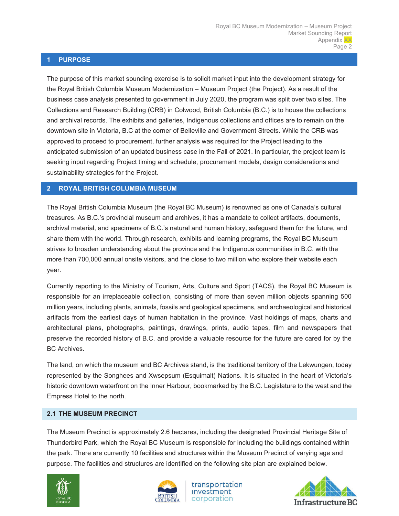#### **1 PURPOSE**

The purpose of this market sounding exercise is to solicit market input into the development strategy for the Royal British Columbia Museum Modernization – Museum Project (the Project). As a result of the business case analysis presented to government in July 2020, the program was split over two sites. The Collections and Research Building (CRB) in Colwood, British Columbia (B.C.) is to house the collections and archival records. The exhibits and galleries, Indigenous collections and offices are to remain on the downtown site in Victoria, B.C at the corner of Belleville and Government Streets. While the CRB was approved to proceed to procurement, further analysis was required for the Project leading to the anticipated submission of an updated business case in the Fall of 2021. In particular, the project team is seeking input regarding Project timing and schedule, procurement models, design considerations and sustainability strategies for the Project.

## **2 ROYAL BRITISH COLUMBIA MUSEUM**

The Royal British Columbia Museum (the Royal BC Museum) is renowned as one of Canada's cultural treasures. As B.C.'s provincial museum and archives, it has a mandate to collect artifacts, documents, archival material, and specimens of B.C.'s natural and human history, safeguard them for the future, and share them with the world. Through research, exhibits and learning programs, the Royal BC Museum strives to broaden understanding about the province and the Indigenous communities in B.C. with the more than 700,000 annual onsite visitors, and the close to two million who explore their website each year.

Currently reporting to the Ministry of Tourism, Arts, Culture and Sport (TACS), the Royal BC Museum is responsible for an irreplaceable collection, consisting of more than seven million objects spanning 500 million years, including plants, animals, fossils and geological specimens, and archaeological and historical artifacts from the earliest days of human habitation in the province. Vast holdings of maps, charts and architectural plans, photographs, paintings, drawings, prints, audio tapes, film and newspapers that preserve the recorded history of B.C. and provide a valuable resource for the future are cared for by the BC Archives.

The land, on which the museum and BC Archives stand, is the traditional territory of the Lekwungen, today represented by the Songhees and Xwsepsum (Esquimalt) Nations. It is situated in the heart of Victoria's historic downtown waterfront on the Inner Harbour, bookmarked by the B.C. Legislature to the west and the Empress Hotel to the north.

## **2.1 THE MUSEUM PRECINCT**

The Museum Precinct is approximately 2.6 hectares, including the designated Provincial Heritage Site of Thunderbird Park, which the Royal BC Museum is responsible for including the buildings contained within the park. There are currently 10 facilities and structures within the Museum Precinct of varying age and purpose. The facilities and structures are identified on the following site plan are explained below.





transportation **Investment** corporation

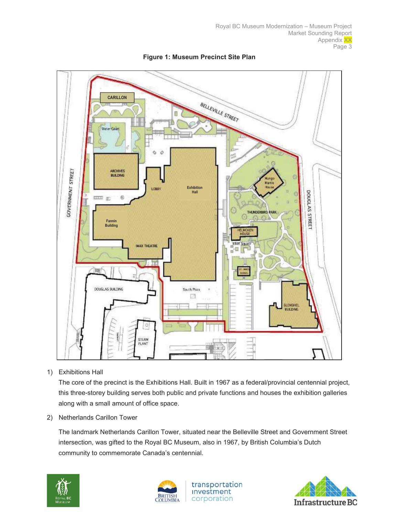

## **Figure 1: Museum Precinct Site Plan**

1) Exhibitions Hall

The core of the precinct is the Exhibitions Hall. Built in 1967 as a federal/provincial centennial project, this three-storey building serves both public and private functions and houses the exhibition galleries along with a small amount of office space.

2) Netherlands Carillon Tower

The landmark Netherlands Carillon Tower, situated near the Belleville Street and Government Street intersection, was gifted to the Royal BC Museum, also in 1967, by British Columbia's Dutch community to commemorate Canada's centennial.





transportation **Investment** corporation

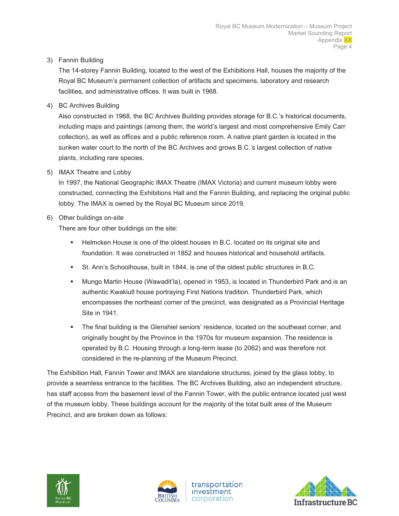## 3) Fannin Building

The 14-storey Fannin Building, located to the west of the Exhibitions Hall, houses the majority of the Royal BC Museum's permanent collection of artifacts and specimens, laboratory and research facilities, and administrative offices. It was built in 1968.

## 4) BC Archives Building

Also constructed in 1968, the BC Archives Building provides storage for B.C.'s historical documents, including maps and paintings (among them, the world's largest and most comprehensive Emily Carr collection), as well as offices and a public reference room. A native plant garden is located in the sunken water court to the north of the BC Archives and grows B.C.'s largest collection of native plants, including rare species.

## 5) IMAX Theatre and Lobby

In 1997, the National Geographic IMAX Theatre (IMAX Victoria) and current museum lobby were constructed, connecting the Exhibitions Hall and the Fannin Building, and replacing the original public lobby. The IMAX is owned by the Royal BC Museum since 2019.

## 6) Other buildings on-site

There are four other buildings on the site:

- Helmcken House is one of the oldest houses in B.C. located on its original site and foundation. It was constructed in 1852 and houses historical and household artifacts.
- St. Ann's Schoolhouse, built in 1844, is one of the oldest public structures in B.C.
- Mungo Martin House (Wawadit'la), opened in 1953, is located in Thunderbird Park and is an authentic Kwakiutl house portraying First Nations tradition. Thunderbird Park, which encompasses the northeast corner of the precinct, was designated as a Provincial Heritage Site in 1941.
- The final building is the Glenshiel seniors' residence, located on the southeast corner, and originally bought by the Province in the 1970s for museum expansion. The residence is operated by B.C. Housing through a long-term lease (to 2062) and was therefore not considered in the re-planning of the Museum Precinct.

The Exhibition Hall, Fannin Tower and IMAX are standalone structures, joined by the glass lobby, to provide a seamless entrance to the facilities. The BC Archives Building, also an independent structure, has staff access from the basement level of the Fannin Tower, with the public entrance located just west of the museum lobby. These buildings account for the majority of the total built area of the Museum Precinct, and are broken down as follows:





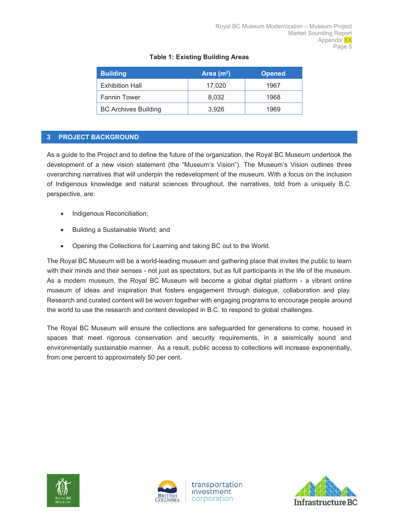| <b>Building</b>             | Area $(m2)$ | <b>Opened</b> |
|-----------------------------|-------------|---------------|
| <b>Exhibition Hall</b>      | 17,020      | 1967          |
| <b>Fannin Tower</b>         | 8,032       | 1968          |
| <b>BC Archives Building</b> | 3,926       | 1969          |

## **Table 1: Existing Building Areas**

## **3 PROJECT BACKGROUND**

As a guide to the Project and to define the future of the organization, the Royal BC Museum undertook the development of a new vision statement (the "Museum's Vision"). The Museum's Vision outlines three overarching narratives that will underpin the redevelopment of the museum. With a focus on the inclusion of Indigenous knowledge and natural sciences throughout, the narratives, told from a uniquely B.C. perspective, are:

- Indigenous Reconciliation;
- Building a Sustainable World; and
- Opening the Collections for Learning and taking BC out to the World.

The Royal BC Museum will be a world-leading museum and gathering place that invites the public to learn with their minds and their senses - not just as spectators, but as full participants in the life of the museum. As a modern museum, the Royal BC Museum will become a global digital platform - a vibrant online museum of ideas and inspiration that fosters engagement through dialogue, collaboration and play. Research and curated content will be woven together with engaging programs to encourage people around the world to use the research and content developed in B.C. to respond to global challenges.

The Royal BC Museum will ensure the collections are safeguarded for generations to come, housed in spaces that meet rigorous conservation and security requirements, in a seismically sound and environmentally sustainable manner. As a result, public access to collections will increase exponentially, from one percent to approximately 50 per cent.





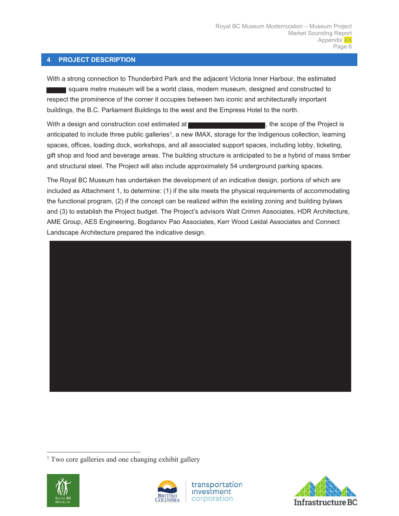## **4 PROJECT DESCRIPTION**

With a strong connection to Thunderbird Park and the adjacent Victoria Inner Harbour, the estimated

square metre museum will be a world class, modern museum, designed and constructed to respect the prominence of the corner it occupies between two iconic and architecturally important buildings, the B.C. Parliament Buildings to the west and the Empress Hotel to the north.

With a design and construction cost estimated at *unity of the scope of the Project is* anticipated to include three public galleries<sup>1</sup>, a new IMAX, storage for the Indigenous collection, learning spaces, offices, loading dock, workshops, and all associated support spaces, including lobby, ticketing, gift shop and food and beverage areas. The building structure is anticipated to be a hybrid of mass timber and structural steel. The Project will also include approximately 54 underground parking spaces.

The Royal BC Museum has undertaken the development of an indicative design, portions of which are included as Attachment 1, to determine: (1) if the site meets the physical requirements of accommodating the functional program, (2) if the concept can be realized within the existing zoning and building bylaws and (3) to establish the Project budget. The Project's advisors Walt Crimm Associates, HDR Architecture, AME Group, AES Engineering, Bogdanov Pao Associates, Kerr Wood Leidal Associates and Connect Landscape Architecture prepared the indicative design.



<sup>&</sup>lt;sup>1</sup> Two core galleries and one changing exhibit gallery







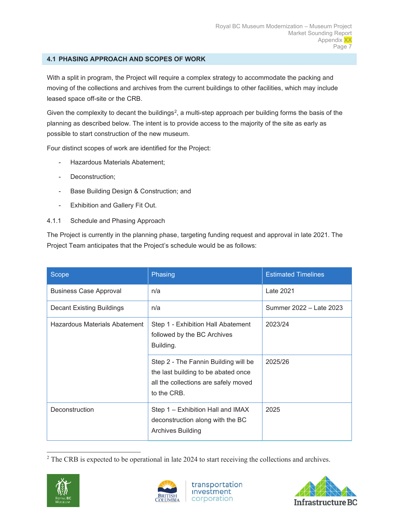## **4.1 PHASING APPROACH AND SCOPES OF WORK**

With a split in program, the Project will require a complex strategy to accommodate the packing and moving of the collections and archives from the current buildings to other facilities, which may include leased space off-site or the CRB.

Given the complexity to decant the buildings<sup>2</sup>, a multi-step approach per building forms the basis of the planning as described below. The intent is to provide access to the majority of the site as early as possible to start construction of the new museum.

Four distinct scopes of work are identified for the Project:

- Hazardous Materials Abatement;
- Deconstruction;
- Base Building Design & Construction; and
- Exhibition and Gallery Fit Out.
- 4.1.1 Schedule and Phasing Approach

The Project is currently in the planning phase, targeting funding request and approval in late 2021. The Project Team anticipates that the Project's schedule would be as follows:

| Scope                            | Phasing                                                                                                                            | <b>Estimated Timelines</b> |
|----------------------------------|------------------------------------------------------------------------------------------------------------------------------------|----------------------------|
| <b>Business Case Approval</b>    | n/a                                                                                                                                | Late 2021                  |
| <b>Decant Existing Buildings</b> | n/a                                                                                                                                | Summer 2022 - Late 2023    |
| Hazardous Materials Abatement    | Step 1 - Exhibition Hall Abatement<br>followed by the BC Archives<br>Building.                                                     | 2023/24                    |
|                                  | Step 2 - The Fannin Building will be<br>the last building to be abated once<br>all the collections are safely moved<br>to the CRB. | 2025/26                    |
| Deconstruction                   | Step 1 – Exhibition Hall and IMAX<br>deconstruction along with the BC<br><b>Archives Building</b>                                  | 2025                       |

<sup>2</sup> The CRB is expected to be operational in late 2024 to start receiving the collections and archives.





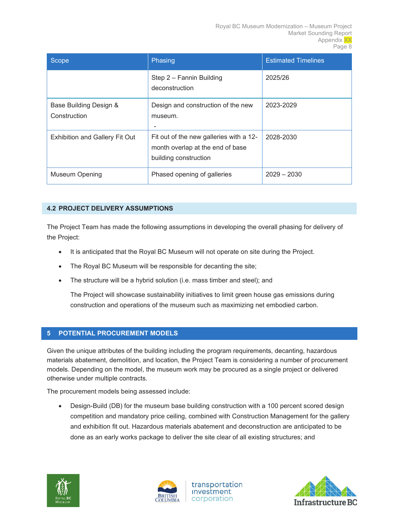| Scope                                  | Phasing                                                                                              | <b>Estimated Timelines</b> |
|----------------------------------------|------------------------------------------------------------------------------------------------------|----------------------------|
|                                        | Step 2 - Fannin Building<br>deconstruction                                                           | 2025/26                    |
| Base Building Design &<br>Construction | Design and construction of the new<br>museum.                                                        | 2023-2029                  |
| <b>Exhibition and Gallery Fit Out</b>  | Fit out of the new galleries with a 12-<br>month overlap at the end of base<br>building construction | 2028-2030                  |
| Museum Opening                         | Phased opening of galleries                                                                          | $2029 - 2030$              |

## **4.2 PROJECT DELIVERY ASSUMPTIONS**

The Project Team has made the following assumptions in developing the overall phasing for delivery of the Project:

- It is anticipated that the Royal BC Museum will not operate on site during the Project.
- The Royal BC Museum will be responsible for decanting the site;
- $\bullet$  The structure will be a hybrid solution (i.e. mass timber and steel); and

The Project will showcase sustainability initiatives to limit green house gas emissions during construction and operations of the museum such as maximizing net embodied carbon.

## **5 POTENTIAL PROCUREMENT MODELS**

Given the unique attributes of the building including the program requirements, decanting, hazardous materials abatement, demolition, and location, the Project Team is considering a number of procurement models. Depending on the model, the museum work may be procured as a single project or delivered otherwise under multiple contracts.

The procurement models being assessed include:

• Design-Build (DB) for the museum base building construction with a 100 percent scored design competition and mandatory price ceiling, combined with Construction Management for the gallery and exhibition fit out. Hazardous materials abatement and deconstruction are anticipated to be done as an early works package to deliver the site clear of all existing structures; and





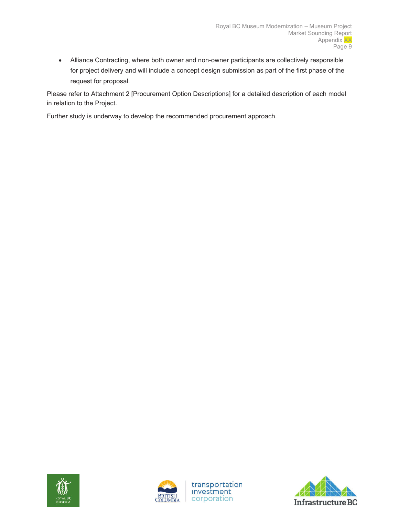• Alliance Contracting, where both owner and non-owner participants are collectively responsible for project delivery and will include a concept design submission as part of the first phase of the request for proposal.

Please refer to Attachment 2 [Procurement Option Descriptions] for a detailed description of each model in relation to the Project.

Further study is underway to develop the recommended procurement approach.







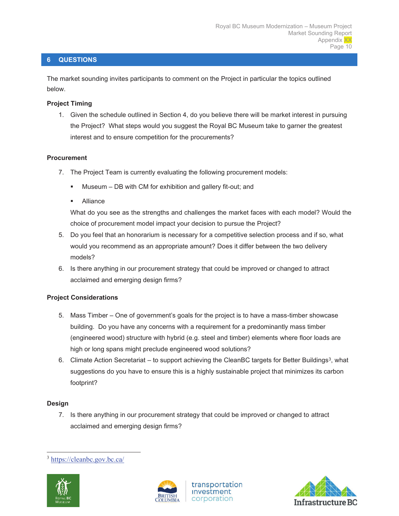## **6 QUESTIONS**

The market sounding invites participants to comment on the Project in particular the topics outlined below.

#### **Project Timing**

1. Given the schedule outlined in Section 4, do you believe there will be market interest in pursuing the Project? What steps would you suggest the Royal BC Museum take to garner the greatest interest and to ensure competition for the procurements?

#### **Procurement**

- 7. The Project Team is currently evaluating the following procurement models:
	- Museum DB with CM for exhibition and gallery fit-out; and
	- **Alliance**

What do you see as the strengths and challenges the market faces with each model? Would the choice of procurement model impact your decision to pursue the Project?

- 5. Do you feel that an honorarium is necessary for a competitive selection process and if so, what would you recommend as an appropriate amount? Does it differ between the two delivery models?
- 6. Is there anything in our procurement strategy that could be improved or changed to attract acclaimed and emerging design firms?

#### **Project Considerations**

- 5. Mass Timber One of government's goals for the project is to have a mass-timber showcase building. Do you have any concerns with a requirement for a predominantly mass timber (engineered wood) structure with hybrid (e.g. steel and timber) elements where floor loads are high or long spans might preclude engineered wood solutions?
- 6. Climate Action Secretariat to support achieving the CleanBC targets for Better Buildings<sup>3</sup>, what suggestions do you have to ensure this is a highly sustainable project that minimizes its carbon footprint?

#### **Design**

7. Is there anything in our procurement strategy that could be improved or changed to attract acclaimed and emerging design firms?

<sup>3</sup> https://cleanbc.gov.bc.ca/





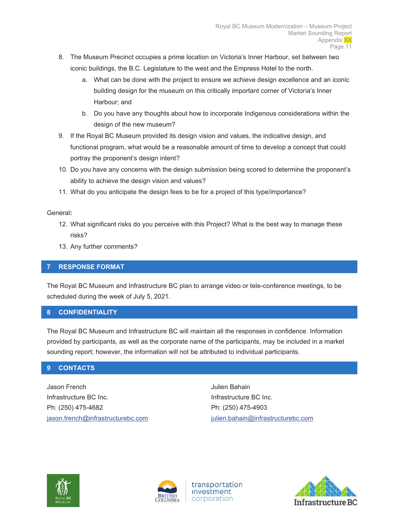- 8. The Museum Precinct occupies a prime location on Victoria's Inner Harbour, set between two iconic buildings, the B.C. Legislature to the west and the Empress Hotel to the north.
	- a. What can be done with the project to ensure we achieve design excellence and an iconic building design for the museum on this critically important corner of Victoria's Inner Harbour; and
	- b. Do you have any thoughts about how to incorporate Indigenous considerations within the design of the new museum?
- 9. If the Royal BC Museum provided its design vision and values, the indicative design, and functional program, what would be a reasonable amount of time to develop a concept that could portray the proponent's design intent?
- 10. Do you have any concerns with the design submission being scored to determine the proponent's ability to achieve the design vision and values?
- 11. What do you anticipate the design fees to be for a project of this type/importance?

General**:**

- 12. What significant risks do you perceive with this Project? What is the best way to manage these risks?
- 13. Any further comments?

## **7 RESPONSE FORMAT**

The Royal BC Museum and Infrastructure BC plan to arrange video or tele-conference meetings, to be scheduled during the week of July 5, 2021.

## **8 CONFIDENTIALITY**

The Royal BC Museum and Infrastructure BC will maintain all the responses in confidence. Information provided by participants, as well as the corporate name of the participants, may be included in a market sounding report; however, the information will not be attributed to individual participants.

## **9 CONTACTS**

Jason French Julien Bahain Infrastructure BC Inc. **Infrastructure BC Inc.** Infrastructure BC Inc. Ph: (250) 475-4682 Ph: (250) 475-4903 jason.french@infrastructurebc.com julien.bahain@infrastructurebc.com







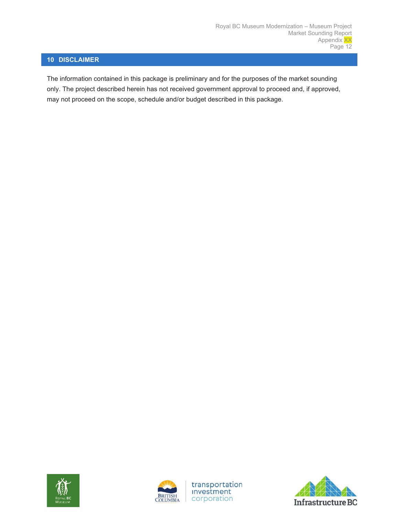## **10 DISCLAIMER**

The information contained in this package is preliminary and for the purposes of the market sounding only. The project described herein has not received government approval to proceed and, if approved, may not proceed on the scope, schedule and/or budget described in this package.







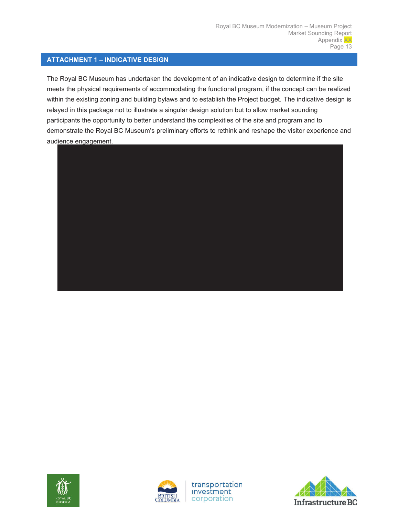## **ATTACHMENT 1 – INDICATIVE DESIGN**

The Royal BC Museum has undertaken the development of an indicative design to determine if the site meets the physical requirements of accommodating the functional program, if the concept can be realized within the existing zoning and building bylaws and to establish the Project budget. The indicative design is relayed in this package not to illustrate a singular design solution but to allow market sounding participants the opportunity to better understand the complexities of the site and program and to demonstrate the Royal BC Museum's preliminary efforts to rethink and reshape the visitor experience and audience engagement.









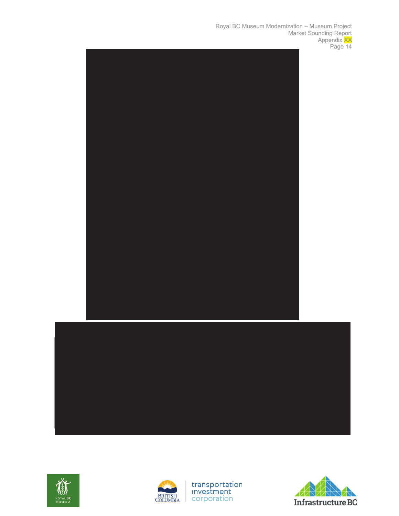





transportation<br>investment<br>corporation

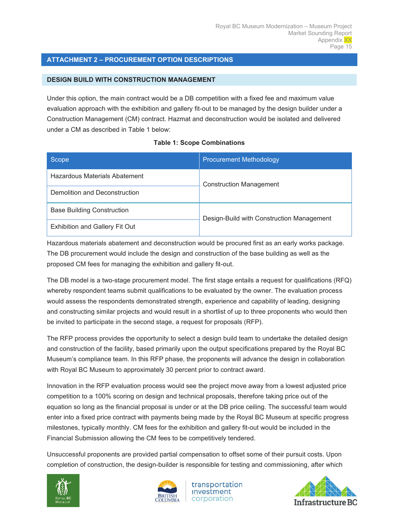## **ATTACHMENT 2 – PROCUREMENT OPTION DESCRIPTIONS**

#### **DESIGN BUILD WITH CONSTRUCTION MANAGEMENT**

Under this option, the main contract would be a DB competition with a fixed fee and maximum value evaluation approach with the exhibition and gallery fit-out to be managed by the design builder under a Construction Management (CM) contract. Hazmat and deconstruction would be isolated and delivered under a CM as described in Table 1 below:

|  |  |  | <b>Table 1: Scope Combinations</b> |
|--|--|--|------------------------------------|
|--|--|--|------------------------------------|

| Scope                                 | <b>Procurement Methodology</b>            |  |
|---------------------------------------|-------------------------------------------|--|
| Hazardous Materials Abatement         | <b>Construction Management</b>            |  |
| Demolition and Deconstruction         |                                           |  |
| <b>Base Building Construction</b>     | Design-Build with Construction Management |  |
| <b>Exhibition and Gallery Fit Out</b> |                                           |  |

Hazardous materials abatement and deconstruction would be procured first as an early works package. The DB procurement would include the design and construction of the base building as well as the proposed CM fees for managing the exhibition and gallery fit-out.

The DB model is a two-stage procurement model. The first stage entails a request for qualifications (RFQ) whereby respondent teams submit qualifications to be evaluated by the owner. The evaluation process would assess the respondents demonstrated strength, experience and capability of leading, designing and constructing similar projects and would result in a shortlist of up to three proponents who would then be invited to participate in the second stage, a request for proposals (RFP).

The RFP process provides the opportunity to select a design build team to undertake the detailed design and construction of the facility, based primarily upon the output specifications prepared by the Royal BC Museum's compliance team. In this RFP phase, the proponents will advance the design in collaboration with Royal BC Museum to approximately 30 percent prior to contract award.

Innovation in the RFP evaluation process would see the project move away from a lowest adjusted price competition to a 100% scoring on design and technical proposals, therefore taking price out of the equation so long as the financial proposal is under or at the DB price ceiling. The successful team would enter into a fixed price contract with payments being made by the Royal BC Museum at specific progress milestones, typically monthly. CM fees for the exhibition and gallery fit-out would be included in the Financial Submission allowing the CM fees to be competitively tendered.

Unsuccessful proponents are provided partial compensation to offset some of their pursuit costs. Upon completion of construction, the design-builder is responsible for testing and commissioning, after which





transportation **Investment** corporation

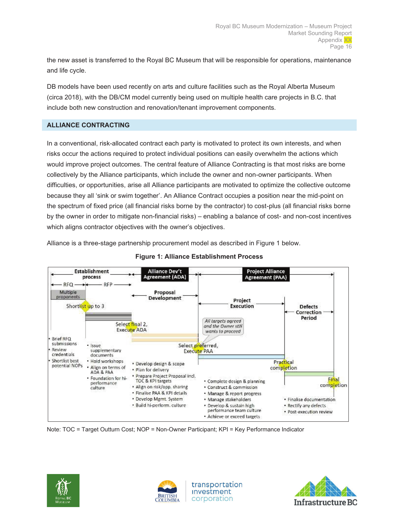the new asset is transferred to the Royal BC Museum that will be responsible for operations, maintenance and life cycle.

DB models have been used recently on arts and culture facilities such as the Royal Alberta Museum (circa 2018), with the DB/CM model currently being used on multiple health care projects in B.C. that include both new construction and renovation/tenant improvement components.

## **ALLIANCE CONTRACTING**

In a conventional, risk-allocated contract each party is motivated to protect its own interests, and when risks occur the actions required to protect individual positions can easily overwhelm the actions which would improve project outcomes. The central feature of Alliance Contracting is that most risks are borne collectively by the Alliance participants, which include the owner and non-owner participants. When difficulties, or opportunities, arise all Alliance participants are motivated to optimize the collective outcome because they all 'sink or swim together'. An Alliance Contract occupies a position near the mid-point on the spectrum of fixed price (all financial risks borne by the contractor) to cost-plus (all financial risks borne by the owner in order to mitigate non-financial risks) – enabling a balance of cost- and non-cost incentives which aligns contractor objectives with the owner's objectives.

Alliance is a three-stage partnership procurement model as described in Figure 1 below.



## **Figure 1: Alliance Establishment Process**

Note: TOC = Target Outturn Cost; NOP = Non-Owner Participant; KPI = Key Performance Indicator





transportation **Investment** corporation

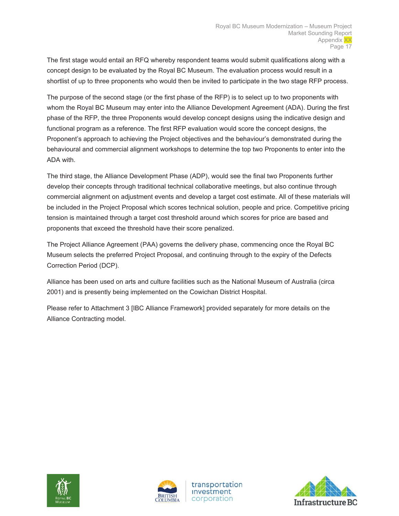The first stage would entail an RFQ whereby respondent teams would submit qualifications along with a concept design to be evaluated by the Royal BC Museum. The evaluation process would result in a shortlist of up to three proponents who would then be invited to participate in the two stage RFP process.

The purpose of the second stage (or the first phase of the RFP) is to select up to two proponents with whom the Royal BC Museum may enter into the Alliance Development Agreement (ADA). During the first phase of the RFP, the three Proponents would develop concept designs using the indicative design and functional program as a reference. The first RFP evaluation would score the concept designs, the Proponent's approach to achieving the Project objectives and the behaviour's demonstrated during the behavioural and commercial alignment workshops to determine the top two Proponents to enter into the ADA with.

The third stage, the Alliance Development Phase (ADP), would see the final two Proponents further develop their concepts through traditional technical collaborative meetings, but also continue through commercial alignment on adjustment events and develop a target cost estimate. All of these materials will be included in the Project Proposal which scores technical solution, people and price. Competitive pricing tension is maintained through a target cost threshold around which scores for price are based and proponents that exceed the threshold have their score penalized.

The Project Alliance Agreement (PAA) governs the delivery phase, commencing once the Royal BC Museum selects the preferred Project Proposal, and continuing through to the expiry of the Defects Correction Period (DCP).

Alliance has been used on arts and culture facilities such as the National Museum of Australia (circa 2001) and is presently being implemented on the Cowichan District Hospital.

Please refer to Attachment 3 [IBC Alliance Framework] provided separately for more details on the Alliance Contracting model.







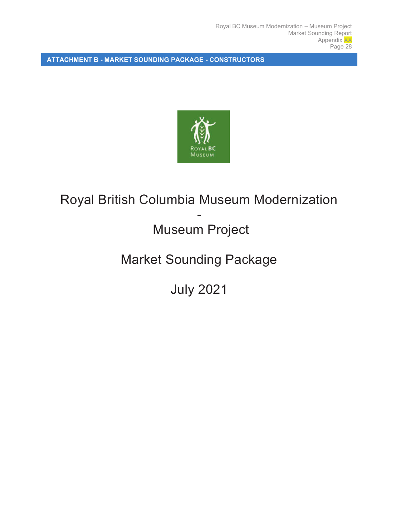**ATTACHMENT B - MARKET SOUNDING PACKAGE - CONSTRUCTORS** 



## Royal British Columbia Museum Modernization

## - Museum Project

## Market Sounding Package

## July 2021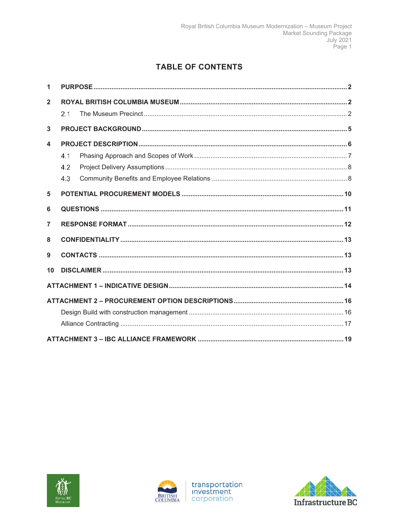## **TABLE OF CONTENTS**

| $\mathbf{1}$   |     |  |  |
|----------------|-----|--|--|
| $\overline{2}$ |     |  |  |
|                | 2.1 |  |  |
| 3              |     |  |  |
| 4              |     |  |  |
|                | 4.1 |  |  |
|                | 4.2 |  |  |
|                | 4.3 |  |  |
| 5              |     |  |  |
| 6              |     |  |  |
| 7              |     |  |  |
| 8              |     |  |  |
| 9              |     |  |  |
| 10             |     |  |  |
|                |     |  |  |
|                |     |  |  |
|                |     |  |  |
|                |     |  |  |
|                |     |  |  |







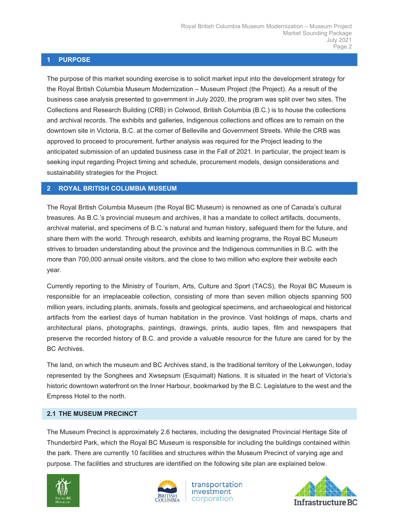#### **1 PURPOSE**

The purpose of this market sounding exercise is to solicit market input into the development strategy for the Royal British Columbia Museum Modernization – Museum Project (the Project). As a result of the business case analysis presented to government in July 2020, the program was split over two sites. The Collections and Research Building (CRB) in Colwood, British Columbia (B.C.) is to house the collections and archival records. The exhibits and galleries, Indigenous collections and offices are to remain on the downtown site in Victoria, B.C. at the corner of Belleville and Government Streets. While the CRB was approved to proceed to procurement, further analysis was required for the Project leading to the anticipated submission of an updated business case in the Fall of 2021. In particular, the project team is seeking input regarding Project timing and schedule, procurement models, design considerations and sustainability strategies for the Project.

## **2 ROYAL BRITISH COLUMBIA MUSEUM**

The Royal British Columbia Museum (the Royal BC Museum) is renowned as one of Canada's cultural treasures. As B.C.'s provincial museum and archives, it has a mandate to collect artifacts, documents, archival material, and specimens of B.C.'s natural and human history, safeguard them for the future, and share them with the world. Through research, exhibits and learning programs, the Royal BC Museum strives to broaden understanding about the province and the Indigenous communities in B.C. with the more than 700,000 annual onsite visitors, and the close to two million who explore their website each year.

Currently reporting to the Ministry of Tourism, Arts, Culture and Sport (TACS), the Royal BC Museum is responsible for an irreplaceable collection, consisting of more than seven million objects spanning 500 million years, including plants, animals, fossils and geological specimens, and archaeological and historical artifacts from the earliest days of human habitation in the province. Vast holdings of maps, charts and architectural plans, photographs, paintings, drawings, prints, audio tapes, film and newspapers that preserve the recorded history of B.C. and provide a valuable resource for the future are cared for by the BC Archives.

The land, on which the museum and BC Archives stand, is the traditional territory of the Lekwungen, today represented by the Songhees and Xwsepsum (Esquimalt) Nations. It is situated in the heart of Victoria's historic downtown waterfront on the Inner Harbour, bookmarked by the B.C. Legislature to the west and the Empress Hotel to the north.

## **2.1 THE MUSEUM PRECINCT**

The Museum Precinct is approximately 2.6 hectares, including the designated Provincial Heritage Site of Thunderbird Park, which the Royal BC Museum is responsible for including the buildings contained within the park. There are currently 10 facilities and structures within the Museum Precinct of varying age and purpose. The facilities and structures are identified on the following site plan are explained below.





transportation **Investment** corporation

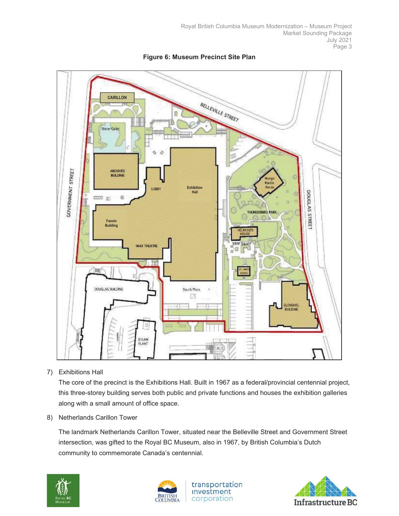



7) Exhibitions Hall

The core of the precinct is the Exhibitions Hall. Built in 1967 as a federal/provincial centennial project, this three-storey building serves both public and private functions and houses the exhibition galleries along with a small amount of office space.

8) Netherlands Carillon Tower

The landmark Netherlands Carillon Tower, situated near the Belleville Street and Government Street intersection, was gifted to the Royal BC Museum, also in 1967, by British Columbia's Dutch community to commemorate Canada's centennial.





transportation **Investment** corporation

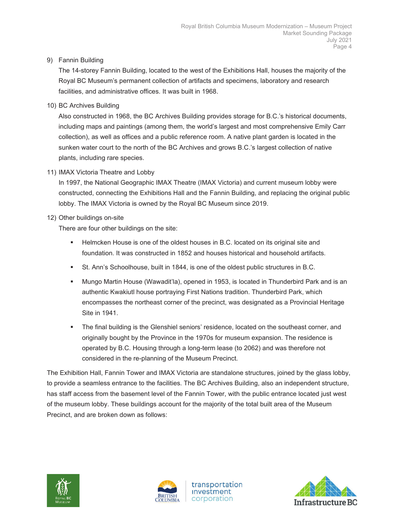## 9) Fannin Building

The 14-storey Fannin Building, located to the west of the Exhibitions Hall, houses the majority of the Royal BC Museum's permanent collection of artifacts and specimens, laboratory and research facilities, and administrative offices. It was built in 1968.

## 10) BC Archives Building

Also constructed in 1968, the BC Archives Building provides storage for B.C.'s historical documents, including maps and paintings (among them, the world's largest and most comprehensive Emily Carr collection), as well as offices and a public reference room. A native plant garden is located in the sunken water court to the north of the BC Archives and grows B.C.'s largest collection of native plants, including rare species.

## 11) IMAX Victoria Theatre and Lobby

In 1997, the National Geographic IMAX Theatre (IMAX Victoria) and current museum lobby were constructed, connecting the Exhibitions Hall and the Fannin Building, and replacing the original public lobby. The IMAX Victoria is owned by the Royal BC Museum since 2019.

## 12) Other buildings on-site

There are four other buildings on the site:

- Helmcken House is one of the oldest houses in B.C. located on its original site and foundation. It was constructed in 1852 and houses historical and household artifacts.
- St. Ann's Schoolhouse, built in 1844, is one of the oldest public structures in B.C.
- Mungo Martin House (Wawadit'la), opened in 1953, is located in Thunderbird Park and is an authentic Kwakiutl house portraying First Nations tradition. Thunderbird Park, which encompasses the northeast corner of the precinct, was designated as a Provincial Heritage Site in 1941.
- The final building is the Glenshiel seniors' residence, located on the southeast corner, and originally bought by the Province in the 1970s for museum expansion. The residence is operated by B.C. Housing through a long-term lease (to 2062) and was therefore not considered in the re-planning of the Museum Precinct.

The Exhibition Hall, Fannin Tower and IMAX Victoria are standalone structures, joined by the glass lobby, to provide a seamless entrance to the facilities. The BC Archives Building, also an independent structure, has staff access from the basement level of the Fannin Tower, with the public entrance located just west of the museum lobby. These buildings account for the majority of the total built area of the Museum Precinct, and are broken down as follows:





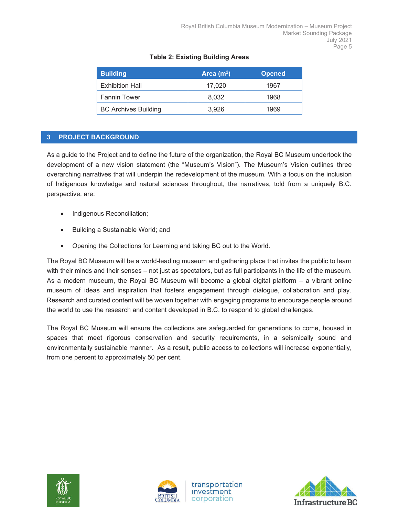| <b>Building</b>             | Area $(m2)$ | <b>Opened</b> |
|-----------------------------|-------------|---------------|
| <b>Exhibition Hall</b>      | 17,020      | 1967          |
| <b>Fannin Tower</b>         | 8,032       | 1968          |
| <b>BC Archives Building</b> | 3,926       | 1969          |

## **Table 2: Existing Building Areas**

## **3 PROJECT BACKGROUND**

As a guide to the Project and to define the future of the organization, the Royal BC Museum undertook the development of a new vision statement (the "Museum's Vision"). The Museum's Vision outlines three overarching narratives that will underpin the redevelopment of the museum. With a focus on the inclusion of Indigenous knowledge and natural sciences throughout, the narratives, told from a uniquely B.C. perspective, are:

- Indigenous Reconciliation;
- Building a Sustainable World; and
- Opening the Collections for Learning and taking BC out to the World.

The Royal BC Museum will be a world-leading museum and gathering place that invites the public to learn with their minds and their senses – not just as spectators, but as full participants in the life of the museum. As a modern museum, the Royal BC Museum will become a global digital platform – a vibrant online museum of ideas and inspiration that fosters engagement through dialogue, collaboration and play. Research and curated content will be woven together with engaging programs to encourage people around the world to use the research and content developed in B.C. to respond to global challenges.

The Royal BC Museum will ensure the collections are safeguarded for generations to come, housed in spaces that meet rigorous conservation and security requirements, in a seismically sound and environmentally sustainable manner. As a result, public access to collections will increase exponentially, from one percent to approximately 50 per cent.





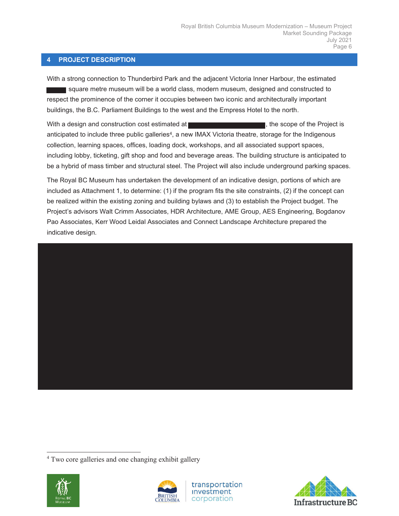## **4 PROJECT DESCRIPTION**

With a strong connection to Thunderbird Park and the adjacent Victoria Inner Harbour, the estimated square metre museum will be a world class, modern museum, designed and constructed to respect the prominence of the corner it occupies between two iconic and architecturally important buildings, the B.C. Parliament Buildings to the west and the Empress Hotel to the north.

With a design and construction cost estimated at *unity*, the scope of the Project is anticipated to include three public galleries<sup>4</sup>, a new IMAX Victoria theatre, storage for the Indigenous collection, learning spaces, offices, loading dock, workshops, and all associated support spaces, including lobby, ticketing, gift shop and food and beverage areas. The building structure is anticipated to be a hybrid of mass timber and structural steel. The Project will also include underground parking spaces.

The Royal BC Museum has undertaken the development of an indicative design, portions of which are included as Attachment 1, to determine: (1) if the program fits the site constraints, (2) if the concept can be realized within the existing zoning and building bylaws and (3) to establish the Project budget. The Project's advisors Walt Crimm Associates, HDR Architecture, AME Group, AES Engineering, Bogdanov Pao Associates, Kerr Wood Leidal Associates and Connect Landscape Architecture prepared the indicative design.



<sup>4</sup> Two core galleries and one changing exhibit gallery





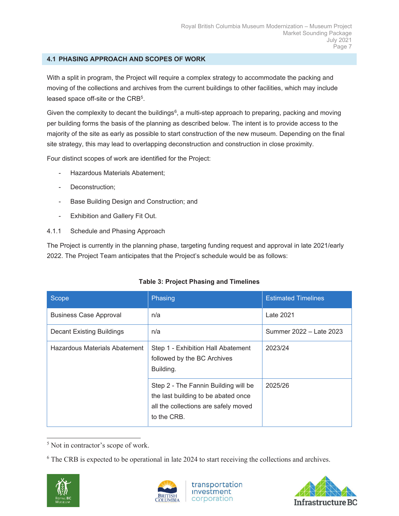## **4.1 PHASING APPROACH AND SCOPES OF WORK**

With a split in program, the Project will require a complex strategy to accommodate the packing and moving of the collections and archives from the current buildings to other facilities, which may include leased space off-site or the CRB5.

Given the complexity to decant the buildings<sup>6</sup>, a multi-step approach to preparing, packing and moving per building forms the basis of the planning as described below. The intent is to provide access to the majority of the site as early as possible to start construction of the new museum. Depending on the final site strategy, this may lead to overlapping deconstruction and construction in close proximity.

Four distinct scopes of work are identified for the Project:

- Hazardous Materials Abatement;
- Deconstruction;
- Base Building Design and Construction; and
- Exhibition and Gallery Fit Out.
- 4.1.1 Schedule and Phasing Approach

The Project is currently in the planning phase, targeting funding request and approval in late 2021/early 2022. The Project Team anticipates that the Project's schedule would be as follows:

| Scope                            | Phasing                                                                                                                            | <b>Estimated Timelines</b> |
|----------------------------------|------------------------------------------------------------------------------------------------------------------------------------|----------------------------|
| <b>Business Case Approval</b>    | n/a                                                                                                                                | Late 2021                  |
| <b>Decant Existing Buildings</b> | n/a                                                                                                                                | Summer 2022 - Late 2023    |
| Hazardous Materials Abatement    | Step 1 - Exhibition Hall Abatement<br>followed by the BC Archives<br>Building.                                                     | 2023/24                    |
|                                  | Step 2 - The Fannin Building will be<br>the last building to be abated once<br>all the collections are safely moved<br>to the CRB. | 2025/26                    |

## **Table 3: Project Phasing and Timelines**

<sup>5</sup> Not in contractor's scope of work.

<sup>6</sup> The CRB is expected to be operational in late 2024 to start receiving the collections and archives.





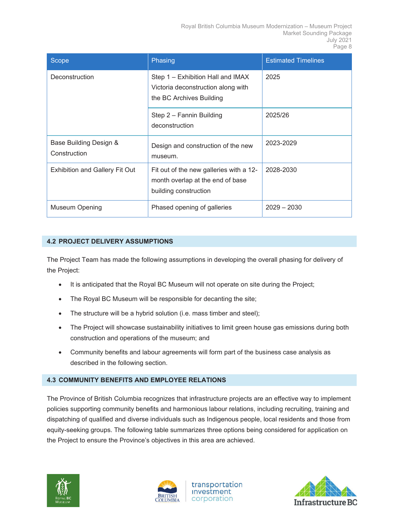| Scope                                  | Phasing                                                                                              | <b>Estimated Timelines</b> |
|----------------------------------------|------------------------------------------------------------------------------------------------------|----------------------------|
| Deconstruction                         | Step 1 – Exhibition Hall and IMAX<br>Victoria deconstruction along with<br>the BC Archives Building  | 2025                       |
|                                        | Step 2 - Fannin Building<br>deconstruction                                                           | 2025/26                    |
| Base Building Design &<br>Construction | Design and construction of the new<br>museum.                                                        | 2023-2029                  |
| Exhibition and Gallery Fit Out         | Fit out of the new galleries with a 12-<br>month overlap at the end of base<br>building construction | 2028-2030                  |
| Museum Opening                         | Phased opening of galleries                                                                          | $2029 - 2030$              |

## **4.2 PROJECT DELIVERY ASSUMPTIONS**

The Project Team has made the following assumptions in developing the overall phasing for delivery of the Project:

- It is anticipated that the Royal BC Museum will not operate on site during the Project;
- The Royal BC Museum will be responsible for decanting the site;
- $\bullet$  The structure will be a hybrid solution (i.e. mass timber and steel);
- The Project will showcase sustainability initiatives to limit green house gas emissions during both construction and operations of the museum; and
- Community benefits and labour agreements will form part of the business case analysis as described in the following section.

### **4.3 COMMUNITY BENEFITS AND EMPLOYEE RELATIONS**

The Province of British Columbia recognizes that infrastructure projects are an effective way to implement policies supporting community benefits and harmonious labour relations, including recruiting, training and dispatching of qualified and diverse individuals such as Indigenous people, local residents and those from equity-seeking groups. The following table summarizes three options being considered for application on the Project to ensure the Province's objectives in this area are achieved.





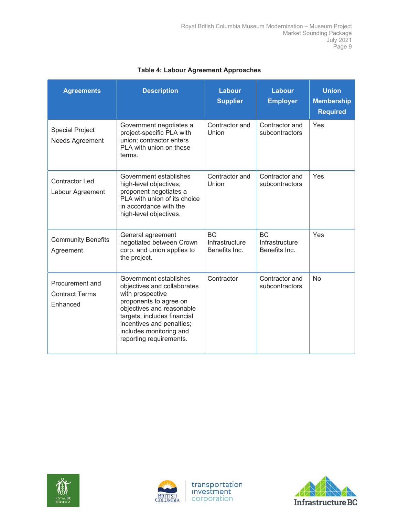| <b>Agreements</b>                                    | <b>Description</b>                                                                                                                                                                                                                                 | <b>Labour</b><br><b>Supplier</b>             | Labour<br><b>Employer</b>                    | <b>Union</b><br><b>Membership</b><br><b>Required</b> |
|------------------------------------------------------|----------------------------------------------------------------------------------------------------------------------------------------------------------------------------------------------------------------------------------------------------|----------------------------------------------|----------------------------------------------|------------------------------------------------------|
| <b>Special Project</b><br>Needs Agreement            | Government negotiates a<br>project-specific PLA with<br>union; contractor enters<br>PLA with union on those<br>terms.                                                                                                                              | Contractor and<br>Union                      | Contractor and<br>subcontractors             | Yes                                                  |
| <b>Contractor Led</b><br>Labour Agreement            | Government establishes<br>high-level objectives;<br>proponent negotiates a<br>PLA with union of its choice<br>in accordance with the<br>high-level objectives.                                                                                     | Contractor and<br>Union                      | Contractor and<br>subcontractors             | Yes                                                  |
| <b>Community Benefits</b><br>Agreement               | General agreement<br>negotiated between Crown<br>corp. and union applies to<br>the project.                                                                                                                                                        | <b>BC</b><br>Infrastructure<br>Benefits Inc. | <b>BC</b><br>Infrastructure<br>Benefits Inc. | Yes                                                  |
| Procurement and<br><b>Contract Terms</b><br>Enhanced | Government establishes<br>objectives and collaborates<br>with prospective<br>proponents to agree on<br>objectives and reasonable<br>targets; includes financial<br>incentives and penalties;<br>includes monitoring and<br>reporting requirements. | Contractor                                   | Contractor and<br>subcontractors             | <b>No</b>                                            |

## **Table 4: Labour Agreement Approaches**





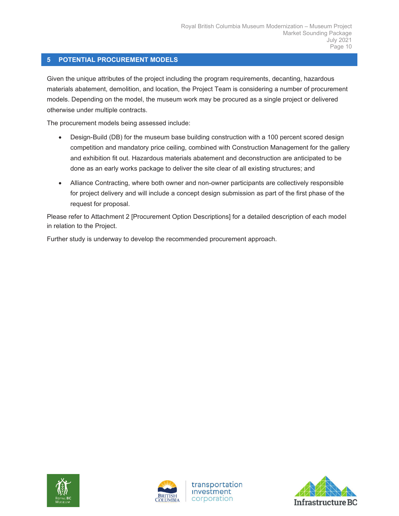## **5 POTENTIAL PROCUREMENT MODELS**

Given the unique attributes of the project including the program requirements, decanting, hazardous materials abatement, demolition, and location, the Project Team is considering a number of procurement models. Depending on the model, the museum work may be procured as a single project or delivered otherwise under multiple contracts.

The procurement models being assessed include:

- Design-Build (DB) for the museum base building construction with a 100 percent scored design competition and mandatory price ceiling, combined with Construction Management for the gallery and exhibition fit out. Hazardous materials abatement and deconstruction are anticipated to be done as an early works package to deliver the site clear of all existing structures; and
- Alliance Contracting, where both owner and non-owner participants are collectively responsible for project delivery and will include a concept design submission as part of the first phase of the request for proposal.

Please refer to Attachment 2 [Procurement Option Descriptions] for a detailed description of each model in relation to the Project.

Further study is underway to develop the recommended procurement approach.







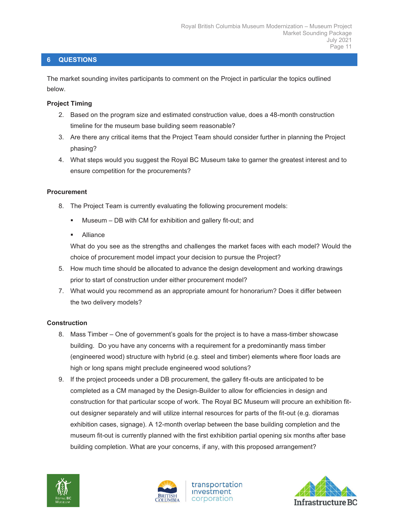## **6 QUESTIONS**

The market sounding invites participants to comment on the Project in particular the topics outlined below.

### **Project Timing**

- 2. Based on the program size and estimated construction value, does a 48-month construction timeline for the museum base building seem reasonable?
- 3. Are there any critical items that the Project Team should consider further in planning the Project phasing?
- 4. What steps would you suggest the Royal BC Museum take to garner the greatest interest and to ensure competition for the procurements?

#### **Procurement**

- 8. The Project Team is currently evaluating the following procurement models:
	- Museum DB with CM for exhibition and gallery fit-out; and
	- **Alliance**

What do you see as the strengths and challenges the market faces with each model? Would the choice of procurement model impact your decision to pursue the Project?

- 5. How much time should be allocated to advance the design development and working drawings prior to start of construction under either procurement model?
- 7. What would you recommend as an appropriate amount for honorarium? Does it differ between the two delivery models?

#### **Construction**

- 8. Mass Timber One of government's goals for the project is to have a mass-timber showcase building. Do you have any concerns with a requirement for a predominantly mass timber (engineered wood) structure with hybrid (e.g. steel and timber) elements where floor loads are high or long spans might preclude engineered wood solutions?
- 9. If the project proceeds under a DB procurement, the gallery fit-outs are anticipated to be completed as a CM managed by the Design-Builder to allow for efficiencies in design and construction for that particular scope of work. The Royal BC Museum will procure an exhibition fitout designer separately and will utilize internal resources for parts of the fit-out (e.g. dioramas exhibition cases, signage). A 12-month overlap between the base building completion and the museum fit-out is currently planned with the first exhibition partial opening six months after base building completion. What are your concerns, if any, with this proposed arrangement?





transportation **Investment** corporation

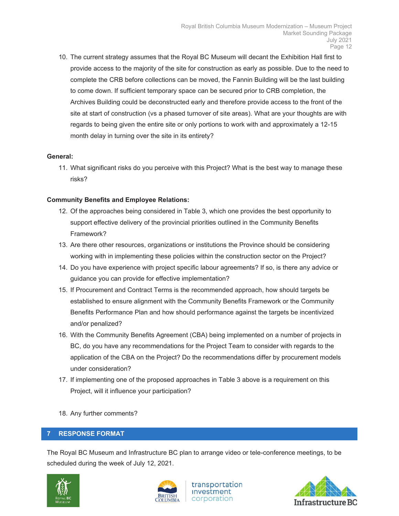10. The current strategy assumes that the Royal BC Museum will decant the Exhibition Hall first to provide access to the majority of the site for construction as early as possible. Due to the need to complete the CRB before collections can be moved, the Fannin Building will be the last building to come down. If sufficient temporary space can be secured prior to CRB completion, the Archives Building could be deconstructed early and therefore provide access to the front of the site at start of construction (vs a phased turnover of site areas). What are your thoughts are with regards to being given the entire site or only portions to work with and approximately a 12-15 month delay in turning over the site in its entirety?

## **General:**

11. What significant risks do you perceive with this Project? What is the best way to manage these risks?

## **Community Benefits and Employee Relations:**

- 12. Of the approaches being considered in Table 3, which one provides the best opportunity to support effective delivery of the provincial priorities outlined in the Community Benefits Framework?
- 13. Are there other resources, organizations or institutions the Province should be considering working with in implementing these policies within the construction sector on the Project?
- 14. Do you have experience with project specific labour agreements? If so, is there any advice or guidance you can provide for effective implementation?
- 15. If Procurement and Contract Terms is the recommended approach, how should targets be established to ensure alignment with the Community Benefits Framework or the Community Benefits Performance Plan and how should performance against the targets be incentivized and/or penalized?
- 16. With the Community Benefits Agreement (CBA) being implemented on a number of projects in BC, do you have any recommendations for the Project Team to consider with regards to the application of the CBA on the Project? Do the recommendations differ by procurement models under consideration?
- 17. If implementing one of the proposed approaches in Table 3 above is a requirement on this Project, will it influence your participation?
- 18. Any further comments?

#### **7 RESPONSE FORMAT**

The Royal BC Museum and Infrastructure BC plan to arrange video or tele-conference meetings, to be scheduled during the week of July 12, 2021.





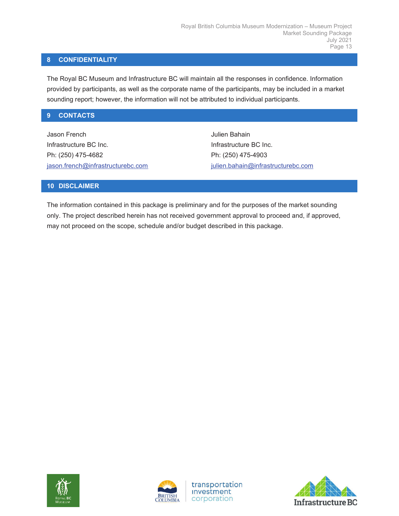## **8 CONFIDENTIALITY**

The Royal BC Museum and Infrastructure BC will maintain all the responses in confidence. Information provided by participants, as well as the corporate name of the participants, may be included in a market sounding report; however, the information will not be attributed to individual participants.

## **9 CONTACTS**

Jason French Julien Bahain Infrastructure BC Inc. The Contrastructure BC Inc. Ph: (250) 475-4682 Ph: (250) 475-4903

jason.french@infrastructurebc.com julien.bahain@infrastructurebc.com

## **10 DISCLAIMER**

The information contained in this package is preliminary and for the purposes of the market sounding only. The project described herein has not received government approval to proceed and, if approved, may not proceed on the scope, schedule and/or budget described in this package.







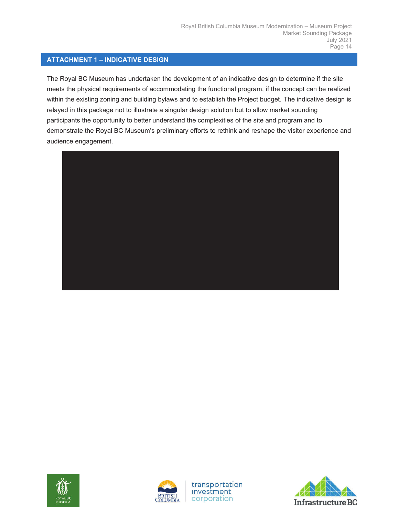## **ATTACHMENT 1 – INDICATIVE DESIGN**

The Royal BC Museum has undertaken the development of an indicative design to determine if the site meets the physical requirements of accommodating the functional program, if the concept can be realized within the existing zoning and building bylaws and to establish the Project budget. The indicative design is relayed in this package not to illustrate a singular design solution but to allow market sounding participants the opportunity to better understand the complexities of the site and program and to demonstrate the Royal BC Museum's preliminary efforts to rethink and reshape the visitor experience and audience engagement.









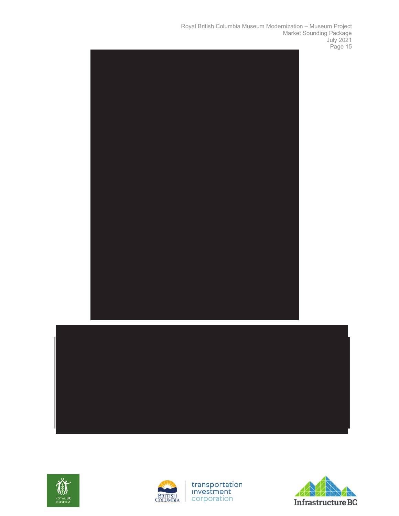





transportation<br>investment<br>corporation

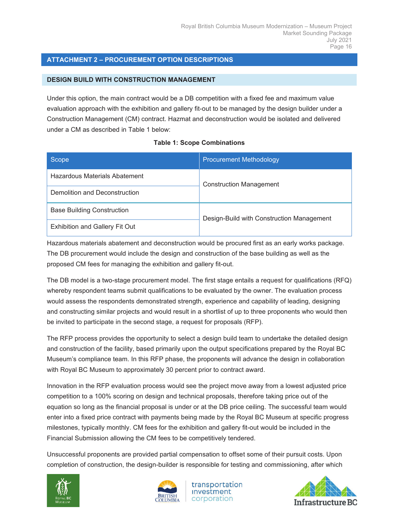## **ATTACHMENT 2 – PROCUREMENT OPTION DESCRIPTIONS**

## **DESIGN BUILD WITH CONSTRUCTION MANAGEMENT**

Under this option, the main contract would be a DB competition with a fixed fee and maximum value evaluation approach with the exhibition and gallery fit-out to be managed by the design builder under a Construction Management (CM) contract. Hazmat and deconstruction would be isolated and delivered under a CM as described in Table 1 below:

|  |  |  | <b>Table 1: Scope Combinations</b> |
|--|--|--|------------------------------------|
|--|--|--|------------------------------------|

| Scope                                 | <b>Procurement Methodology</b>            |  |
|---------------------------------------|-------------------------------------------|--|
| Hazardous Materials Abatement         | <b>Construction Management</b>            |  |
| Demolition and Deconstruction         |                                           |  |
| <b>Base Building Construction</b>     | Design-Build with Construction Management |  |
| <b>Exhibition and Gallery Fit Out</b> |                                           |  |

Hazardous materials abatement and deconstruction would be procured first as an early works package. The DB procurement would include the design and construction of the base building as well as the proposed CM fees for managing the exhibition and gallery fit-out.

The DB model is a two-stage procurement model. The first stage entails a request for qualifications (RFQ) whereby respondent teams submit qualifications to be evaluated by the owner. The evaluation process would assess the respondents demonstrated strength, experience and capability of leading, designing and constructing similar projects and would result in a shortlist of up to three proponents who would then be invited to participate in the second stage, a request for proposals (RFP).

The RFP process provides the opportunity to select a design build team to undertake the detailed design and construction of the facility, based primarily upon the output specifications prepared by the Royal BC Museum's compliance team. In this RFP phase, the proponents will advance the design in collaboration with Royal BC Museum to approximately 30 percent prior to contract award.

Innovation in the RFP evaluation process would see the project move away from a lowest adjusted price competition to a 100% scoring on design and technical proposals, therefore taking price out of the equation so long as the financial proposal is under or at the DB price ceiling. The successful team would enter into a fixed price contract with payments being made by the Royal BC Museum at specific progress milestones, typically monthly. CM fees for the exhibition and gallery fit-out would be included in the Financial Submission allowing the CM fees to be competitively tendered.

Unsuccessful proponents are provided partial compensation to offset some of their pursuit costs. Upon completion of construction, the design-builder is responsible for testing and commissioning, after which





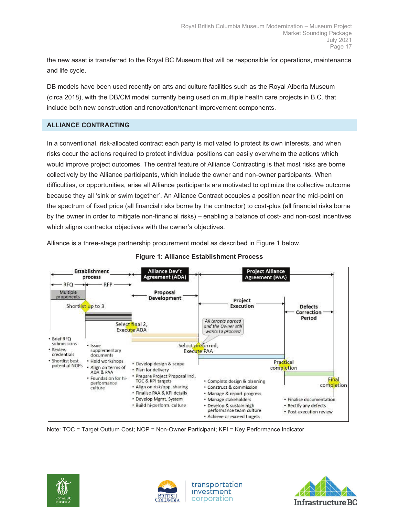the new asset is transferred to the Royal BC Museum that will be responsible for operations, maintenance and life cycle.

DB models have been used recently on arts and culture facilities such as the Royal Alberta Museum (circa 2018), with the DB/CM model currently being used on multiple health care projects in B.C. that include both new construction and renovation/tenant improvement components.

## **ALLIANCE CONTRACTING**

In a conventional, risk-allocated contract each party is motivated to protect its own interests, and when risks occur the actions required to protect individual positions can easily overwhelm the actions which would improve project outcomes. The central feature of Alliance Contracting is that most risks are borne collectively by the Alliance participants, which include the owner and non-owner participants. When difficulties, or opportunities, arise all Alliance participants are motivated to optimize the collective outcome because they all 'sink or swim together'. An Alliance Contract occupies a position near the mid-point on the spectrum of fixed price (all financial risks borne by the contractor) to cost-plus (all financial risks borne by the owner in order to mitigate non-financial risks) – enabling a balance of cost- and non-cost incentives which aligns contractor objectives with the owner's objectives.

Alliance is a three-stage partnership procurement model as described in Figure 1 below.



## **Figure 1: Alliance Establishment Process**

Note: TOC = Target Outturn Cost; NOP = Non-Owner Participant; KPI = Key Performance Indicator





transportation **Investment** corporation